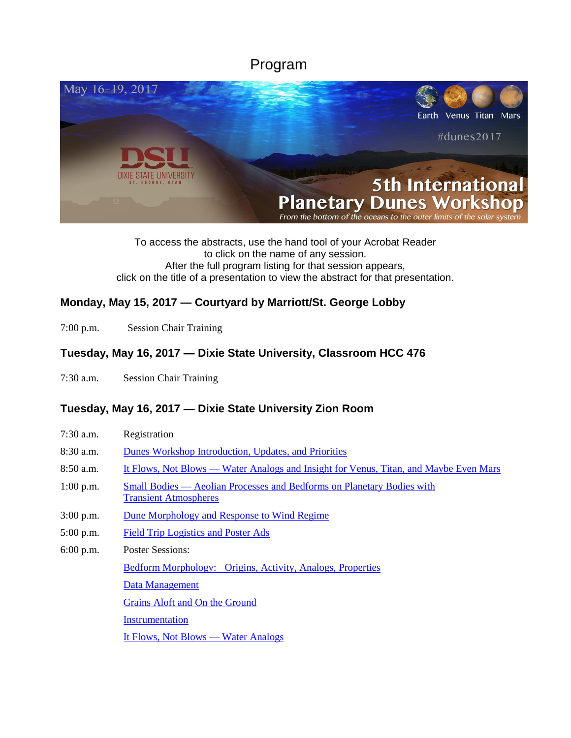Program



To access the abstracts, use the hand tool of your Acrobat Reader to click on the name of any session. After the full program listing for that session appears, click on the title of a presentation to view the abstract for that presentation.

## **Monday, May 15, 2017 — Courtyard by Marriott/St. George Lobby**

7:00 p.m. Session Chair Training

#### **Tuesday, May 16, 2017 — Dixie State University, Classroom HCC 476**

7:30 a.m. Session Chair Training

#### **Tuesday, May 16, 2017 — Dixie State University Zion Room**

| $7:30$ a.m. | Registration                                                                                           |
|-------------|--------------------------------------------------------------------------------------------------------|
| $8:30$ a.m. | Dunes Workshop Introduction, Updates, and Priorities                                                   |
| $8:50$ a.m. | It Flows, Not Blows — Water Analogs and Insight for Venus, Titan, and Maybe Even Mars                  |
| $1:00$ p.m. | Small Bodies — Aeolian Processes and Bedforms on Planetary Bodies with<br><b>Transient Atmospheres</b> |
| $3:00$ p.m. | Dune Morphology and Response to Wind Regime                                                            |
| $5:00$ p.m. | <b>Field Trip Logistics and Poster Ads</b>                                                             |
| $6:00$ p.m. | <b>Poster Sessions:</b>                                                                                |
|             | Bedform Morphology: Origins, Activity, Analogs, Properties                                             |
|             | Data Management                                                                                        |
|             | Grains Aloft and On the Ground                                                                         |
|             | Instrumentation                                                                                        |
|             | It Flows, Not Blows — Water Analogs                                                                    |
|             |                                                                                                        |